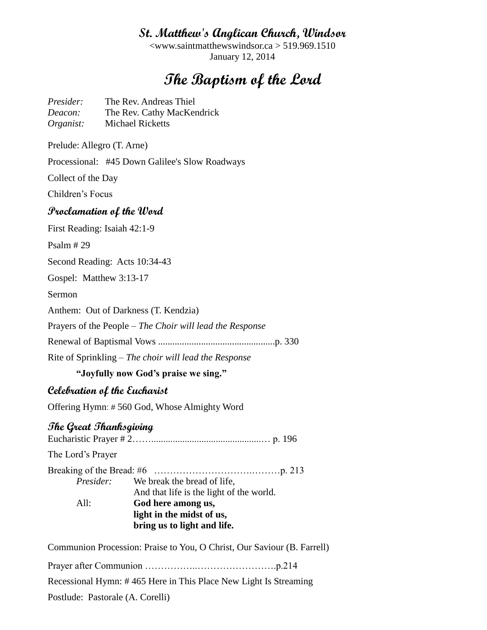# **St. Matthew's Anglican Church, Windsor**

<www.saintmatthewswindsor.ca > 519.969.1510 January 12, 2014

# **The Baptism of the Lord**

*Presider:* The Rev. Andreas Thiel *Deacon:* The Rev. Cathy MacKendrick *Organist:* Michael Ricketts

Prelude: Allegro (T. Arne)

Processional: #45 Down Galilee's Slow Roadways

Collect of the Day

Children's Focus

## **Proclamation of the Word**

First Reading: Isaiah 42:1-9

Psalm # 29

Second Reading: Acts 10:34-43

Gospel: Matthew 3:13-17

Sermon

Anthem: Out of Darkness (T. Kendzia)

Prayers of the People – *The Choir will lead the Response*

Renewal of Baptismal Vows .................................................p. 330

Rite of Sprinkling – *The choir will lead the Response*

#### **"Joyfully now God's praise we sing."**

#### **Celebration of the Eucharist**

Offering Hymn: # 560 God, Whose Almighty Word

## **The Great Thanksgiving**

Eucharistic Prayer # 2……..............................................… p. 196 The Lord's Prayer Breaking of the Bread: #6 ………………………….………p. 213 *Presider:* We break the bread of life, And that life is the light of the world. All: **God here among us, light in the midst of us, bring us to light and life.**

Communion Procession: Praise to You, O Christ, Our Saviour (B. Farrell)

Prayer after Communion ……………..…………………….p.214

Recessional Hymn: # 465 Here in This Place New Light Is Streaming

Postlude: Pastorale (A. Corelli)